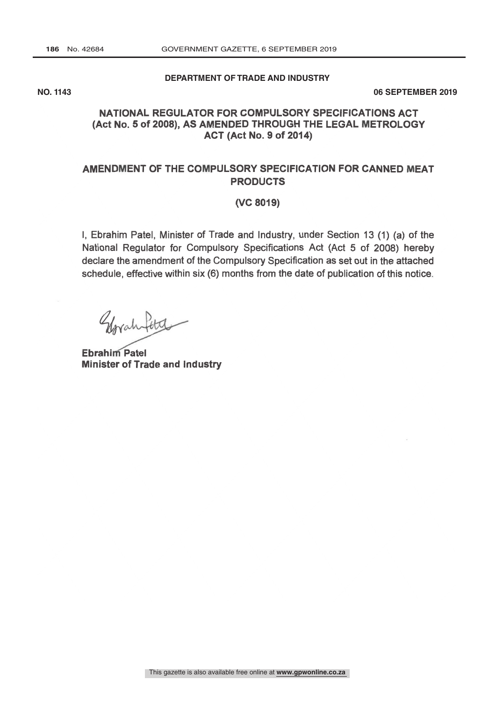#### **DEPARTMENT OF TRADE AND INDUSTRY**

**NO. 1143 06 SEPTEMBER 2019**

### (Act No. 5 of 2008), AS AMENDED THROUGH THE LEGAL METROLOGY NATIONAL REGULATOR FOR COMPULSORY SPECIFICATIONS ACT ACT (Act No. 9 of 2014)

## AMENDMENT OF THE COMPULSORY SPECIFICATION FOR CANNED MEAT **PRODUCTS**

#### (VC 8019)

I, Ebrahim Patel, Minister of Trade and Industry, under Section 13 (1) (a) of the National Regulator for Compulsory Specifications Act (Act 5 of 2008) hereby declare the amendment of the Compulsory Specification as set out in the attached schedule, effective within six (6) months from the date of publication of this notice

Glorah fota

**Ebrahim Patel** Minister of Trade and Industry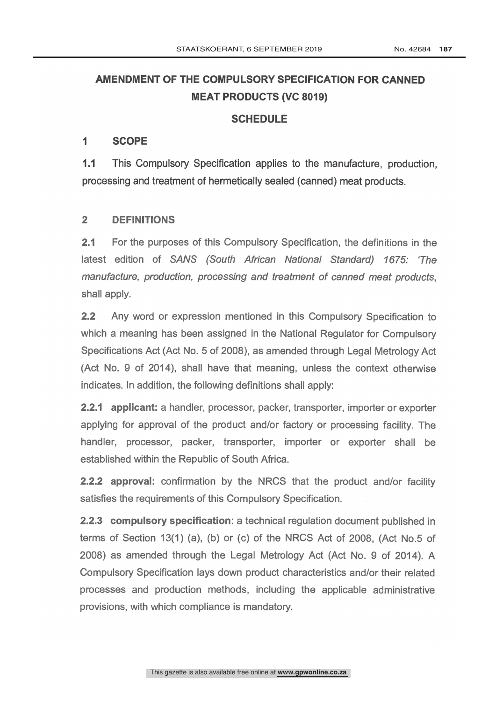# AMENDMENT OF THE COMPULSORY SPECIFICATION FOR CANNED MEAT PRODUCTS (VC 8019)

## **SCHEDULE**

#### $\overline{\mathbf{1}}$ **SCOPE**

1.1 This Compulsory Specification applies to the manufacture, production, processing and treatment of hermetically sealed (canned) meat products.

### 2 DEFINITIONS

2.1 For the purposes of this Compulsory Specification, the definitions in the latest edition of SANS (South African National Standard) 1675: The manufacture, production, processing and treatment of canned meat products, shall apply.

2.2 Any word or expression mentioned in this Compulsory Specification to which a meaning has been assigned in the National Regulator for Compulsory Specifications Act (Act No. 5 of 2008), as amended through Legal Metrology Act (Act No. 9 of 2014), shall have that meaning, unless the context otherwise indicates. In addition, the following definitions shall apply:

2.2.1 applicant: a handler, processor, packer, transporter, importer or exporter applying for approval of the product and /or factory or processing facility. The handler, processor, packer, transporter, importer or exporter shall be established within the Republic of South Africa.

**2.2.2 approval:** confirmation by the NRCS that the product and/or facility satisfies the requirements of this Compulsory Specification.

2.2.3 compulsory specification: a technical regulation document published in terms of Section 13(1) (a), (b) or (c) of the NRCS Act of 2008, (Act No.5 of 2008) as amended through the Legal Metrology Act (Act No. 9 of 2014). A Compulsory Specification lays down product characteristics and /or their related processes and production methods, including the applicable administrative provisions, with which compliance is mandatory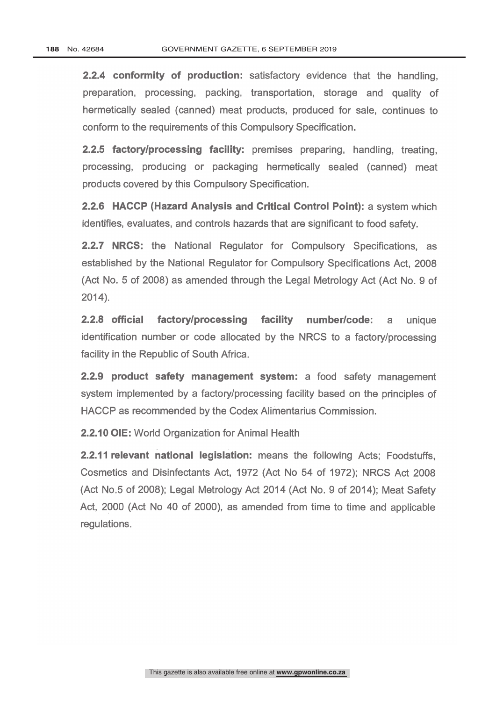2.2.4 conformity of production: satisfactory evidence that the handling, preparation, processing, packing, transportation, storage and quality of hermetically sealed (canned) meat products, produced for sale, continues to conform to the requirements of this Compulsory Specification.

2.2.5 factory/processing facility: premises preparing, handling, treating, processing, producing or packaging hermetically sealed (canned) meat products covered by this Compulsory Specification.

2.2.6 HACCP (Hazard Analysis and Critical Control Point): a system which identifies, evaluates, and controls hazards that are significant to food safety.

**2.2.7 NRCS:** the National Regulator for Compulsory Specifications, as established by the National Regulator for Compulsory Specifications Act, 2008 (Act No. 5 of 2008) as amended through the Legal Metrology Act (Act No. 9 of 2014).

2.2.8 official factory/processing facility number/code: a unique identification number or code allocated by the NRCS to a factory/processing facility in the Republic of South Africa.

2.2.9 product safety management system: a food safety management system implemented by a factory/processing facility based on the principles of HACCP as recommended by the Codex Alimentarius Commission.

2.2.10 OIE: World Organization for Animal Health

2.2.11 relevant national legislation: means the following Acts; Foodstuffs, Cosmetics and Disinfectants Act, 1972 (Act No 54 of 1972); NRCS Act 2008 (Act No.5 of 2008); Legal Metrology Act 2014 (Act No. 9 of 2014); Meat Safety Act, 2000 (Act No 40 of 2000), as amended from time to time and applicable regulations.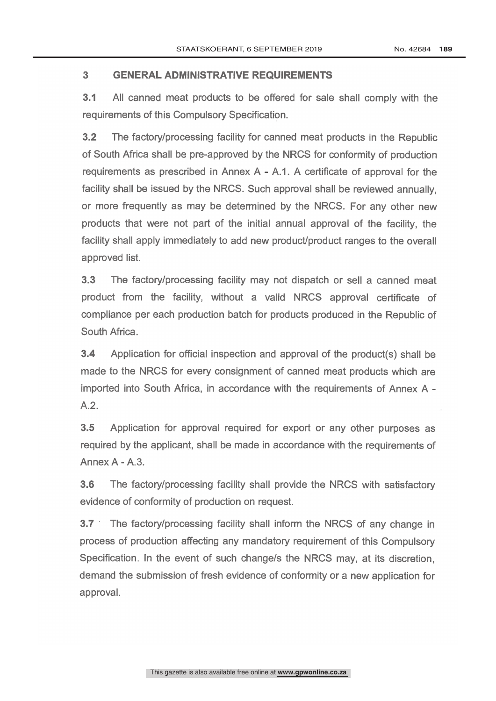### 3 GENERAL ADMINISTRATIVE REQUIREMENTS

3.1 All canned meat products to be offered for sale shall comply with the requirements of this Compulsory Specification.

3.2 The factory/processing facility for canned meat products in the Republic of South Africa shall be pre- approved by the NRCS for conformity of production requirements as prescribed in Annex  $A - A.1$ . A certificate of approval for the facility shall be issued by the NRCS. Such approval shall be reviewed annually, or more frequently as may be determined by the NRCS. For any other new products that were not part of the initial annual approval of the facility, the facility shall apply immediately to add new product/product ranges to the overall approved list.

3.3 The factory/processing facility may not dispatch or sell a canned meat product from the facility, without a valid NRCS approval certificate of compliance per each production batch for products produced in the Republic of South Africa.

3.4 Application for official inspection and approval of the product(s) shall be made to the NRCS for every consignment of canned meat products which are imported into South Africa, in accordance with the requirements of Annex A A.2.

3.5 Application for approval required for export or any other purposes as required by the applicant, shall be made in accordance with the requirements of Annex A - A.3.

3.6 The factory/processing facility shall provide the NRCS with satisfactory evidence of conformity of production on request.

3.7 . The factory/processing facility shall inform the NRCS of any change in process of production affecting any mandatory requirement of this Compulsory Specification. In the event of such change/s the NRCS may, at its discretion, demand the submission of fresh evidence of conformity or a new application for approval.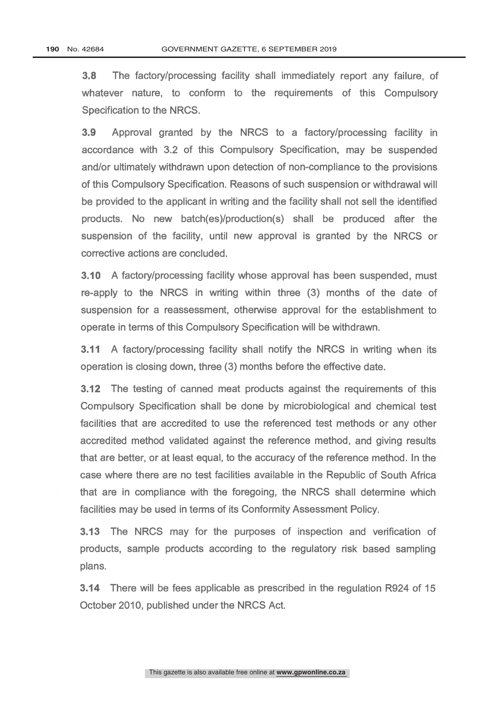3.8 The factory/processing facility shall immediately report any failure, of whatever nature, to conform to the requirements of this Compulsory Specification to the NRCS.

3.9 Approval granted by the NRCS to a factory/processing facility in accordance with 3.2 of this Compulsory Specification, may be suspended and/or ultimately withdrawn upon detection of non-compliance to the provisions of this Compulsory Specification. Reasons of such suspension or withdrawal will be provided to the applicant in writing and the facility shall not sell the identified products. No new batch(es)/production(s) shall be produced after the suspension of the facility, until new approval is granted by the NRCS or corrective actions are concluded.

3.10 A factory/processing facility whose approval has been suspended, must re -apply to the NRCS in writing within three (3) months of the date of suspension for a reassessment, otherwise approval for the establishment to operate in terms of this Compulsory Specification will be withdrawn.

3.11 A factory/processing facility shall notify the NRCS in writing when its operation is closing down, three (3) months before the effective date.

3.12 The testing of canned meat products against the requirements of this Compulsory Specification shall be done by microbiological and chemical test facilities that are accredited to use the referenced test methods or any other accredited method validated against the reference method, and giving results that are better, or at least equal, to the accuracy of the reference method. In the case where there are no test facilities available in the Republic of South Africa that are in compliance with the foregoing, the NRCS shall determine which facilities may be used in terms of its Conformity Assessment Policy.

3.13 The NRCS may for the purposes of inspection and verification of products, sample products according to the regulatory risk based sampling plans.

3.14 There will be fees applicable as prescribed in the regulation R924 of 15 October 2010, published under the NRCS Act.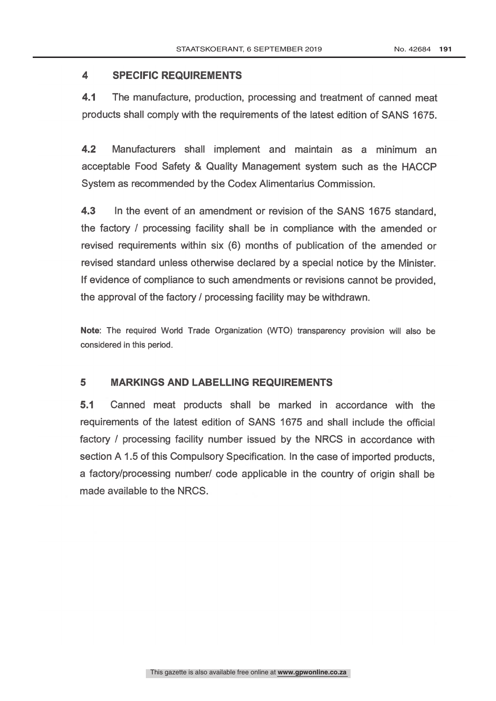#### $\overline{\mathbf{A}}$ **SPECIFIC REQUIREMENTS**

4.1 The manufacture, production, processing and treatment of canned meat products shall comply with the requirements of the latest edition of SANS 1675.

4.2 Manufacturers shall implement and maintain as a minimum an acceptable Food Safety & Quality Management system such as the HACCP System as recommended by the Codex Alimentarius Commission.

4.3 In the event of an amendment or revision of the SANS 1675 standard, the factory / processing facility shall be in compliance with the amended or revised requirements within six (6) months of publication of the amended or revised standard unless otherwise declared by a special notice by the Minister. If evidence of compliance to such amendments or revisions cannot be provided, the approval of the factory / processing facility may be withdrawn.

Note: The required World Trade Organization (WTO) transparency provision will also be considered in this period.

#### 5 MARKINGS AND LABELLING REQUIREMENTS

5.1 Canned meat products shall be marked in accordance with the requirements of the latest edition of SANS 1675 and shall include the official factory / processing facility number issued by the NRCS in accordance with section A 1.5 of this Compulsory Specification. In the case of imported products, a factory/processing number/ code applicable in the country of origin shall be made available to the NRCS.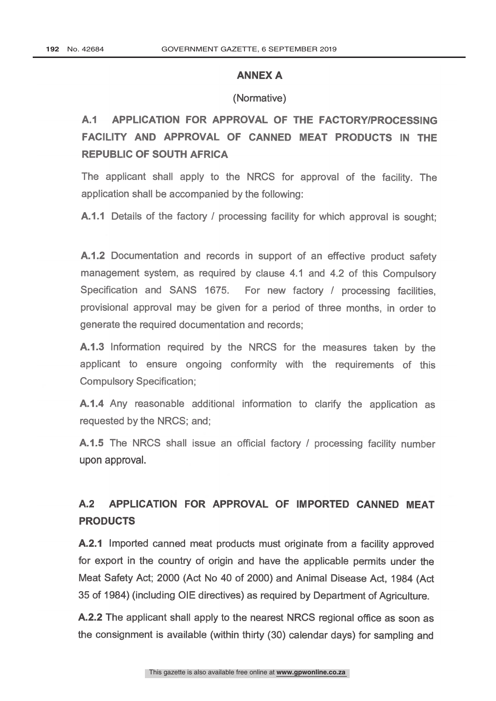#### ANNEX A

#### (Normative)

# A.1 APPLICATION FOR APPROVAL OF THE FACTORY/PROCESSING FACILITY AND APPROVAL OF CANNED MEAT PRODUCTS IN THE REPUBLIC OF SOUTH AFRICA

The applicant shall apply to the NRCS for approval of the facility. The application shall be accompanied by the following:

A.1.1 Details of the factory / processing facility for which approval is sought:

A.1.2 Documentation and records in support of an effective product safety management system, as required by clause 4.1 and 4.2 of this Compulsory Specification and SANS 1675. For new factory / processing facilities, provisional approval may be given for a period of three months, in order to generate the required documentation and records;

A.1.3 Information required by the NRCS for the measures taken by the applicant to ensure ongoing conformity with the requirements of this Compulsory Specification;

A.1.4 Any reasonable additional information to clarify the application as requested by the NRCS; and;

A.1.5 The NRCS shall issue an official factory / processing facility number upon approval.

# A.2 APPLICATION FOR APPROVAL OF IMPORTED CANNED MEAT PRODUCTS

A.2.1 Imported canned meat products must originate from a facility approved for export in the country of origin and have the applicable permits under the Meat Safety Act; 2000 (Act No 40 of 2000) and Animal Disease Act, 1984 (Act 35 of 1984) (including OIE directives) as required by Department of Agriculture.

A.2.2 The applicant shall apply to the nearest NRCS regional office as soon as the consignment is available (within thirty (30) calendar days) for sampling and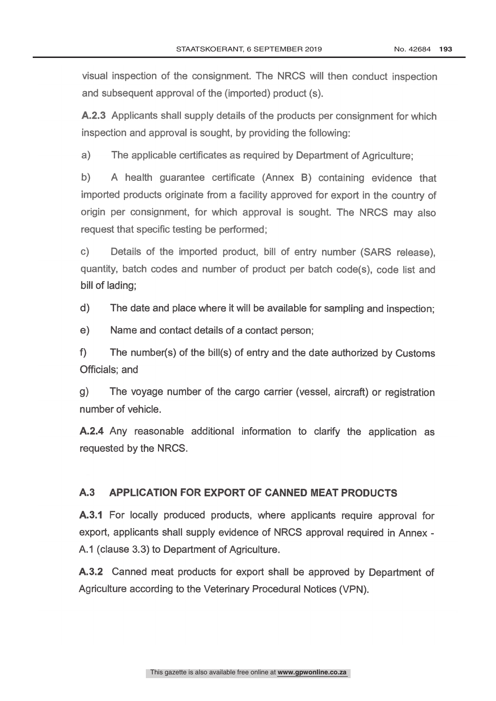visual inspection of the consignment. The NRCS will then conduct inspection and subsequent approval of the (imported) product (s).

A.2.3 Applicants shall supply details of the products per consignment for which inspection and approval is sought, by providing the following:

a) The applicable certificates as required by Department of Agriculture;

b) A health guarantee certificate (Annex B) containing evidence that imported products originate from a facility approved for export in the country of origin per consignment, for which approval is sought. The NRCS may also request that specific testing be performed;

c) Details of the imported product, bill of entry number (SARS release), quantity, batch codes and number of product per batch code(s), code list and bill of lading;

 $\mathsf{d}$ The date and place where it will be available for sampling and inspection;

 $e)$ Name and contact details of a contact person;

f) The number(s) of the bill(s) of entry and the date authorized by Customs Officials; and

g) The voyage number of the cargo carrier (vessel, aircraft) or registration number of vehicle.

A.2.4 Any reasonable additional information to clarify the application as requested by the NRCS.

# A.3 APPLICATION FOR EXPORT OF CANNED MEAT PRODUCTS

A.3.1 For locally produced products, where applicants require approval for export, applicants shall supply evidence of NRCS approval required in Annex - A.1 (clause 3.3) to Department of Agriculture.

A.3.2 Canned meat products for export shall be approved by Department of Agriculture according to the Veterinary Procedural Notices (VPN).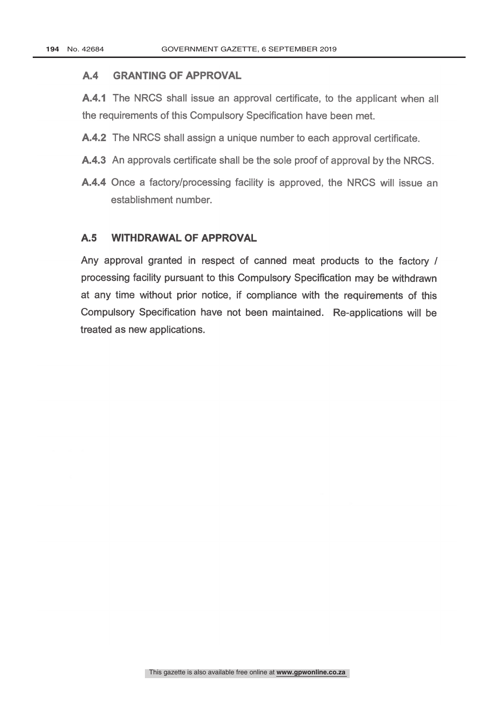#### A.4 GRANTING OF APPROVAL

A.4.1 The NRCS shall issue an approval certificate, to the applicant when all the requirements of this Compulsory Specification have been met.

- A.4.2 The NRCS shall assign a unique number to each approval certificate.
- A.4.3 An approvals certificate shall be the sole proof of approval by the NRCS.
- A.4.4 Once a factory/processing facility is approved, the NRCS will issue an establishment number.

### A.5 WITHDRAWAL OF APPROVAL

Any approval granted in respect of canned meat products to the factory / processing facility pursuant to this Compulsory Specification may be withdrawn at any time without prior notice, if compliance with the requirements of this Compulsory Specification have not been maintained. Re-applications will be treated as new applications.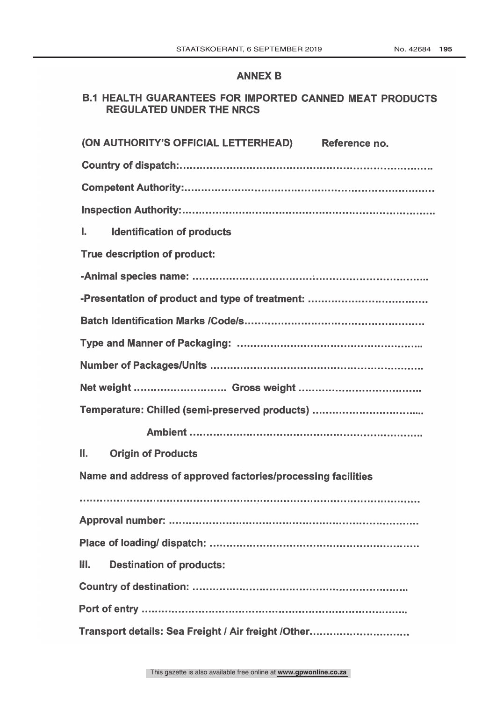### ANNEX B

# B.1 HEALTH GUARANTEES FOR IMPORTED CANNED MEAT PRODUCTS REGULATED UNDER THE NRCS

| (ON AUTHORITY'S OFFICIAL LETTERHEAD) Reference no.           |
|--------------------------------------------------------------|
|                                                              |
|                                                              |
|                                                              |
| <b>Identification of products</b><br>L.                      |
| True description of product:                                 |
|                                                              |
|                                                              |
|                                                              |
|                                                              |
|                                                              |
|                                                              |
| Temperature: Chilled (semi-preserved products)               |
|                                                              |
| Н.<br><b>Origin of Products</b>                              |
| Name and address of approved factories/processing facilities |
|                                                              |
|                                                              |
|                                                              |
| Ш.<br><b>Destination of products:</b>                        |
|                                                              |
|                                                              |
| Transport details: Sea Freight / Air freight / Other         |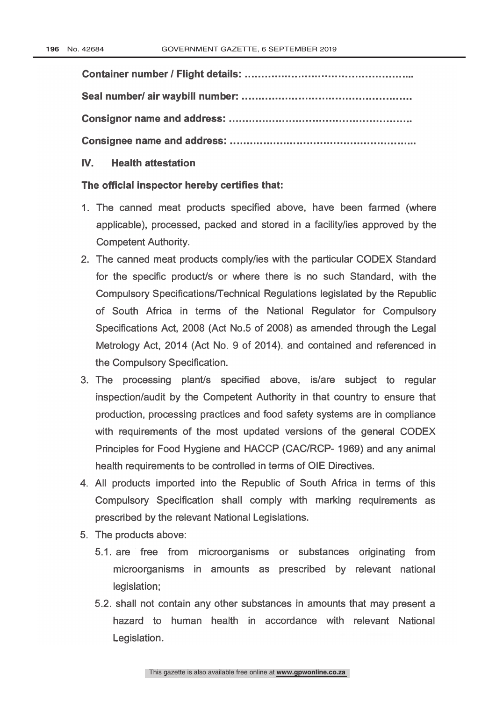Container number / Flight details: Seal number/ air waybill number: Consignor name and address: Consignee name and address:

# IV. Health attestation

#### The official inspector hereby certifies that:

- 1. The canned meat products specified above, have been farmed (where applicable), processed, packed and stored in a facility/ies approved by the Competent Authority.
- 2. The canned meat products comply/ies with the particular CODEX Standard for the specific product/s or where there is no such Standard, with the Compulsory Specifications/Technical Regulations legislated by the Republic of South Africa in terms of the National Regulator for Compulsory Specifications Act, 2008 (Act No.5 of 2008) as amended through the Legal Metrology Act, 2014 (Act No. 9 of 2014). and contained and referenced in the Compulsory Specification.
- 3. The processing plant/s specified above, is/are subject to regular inspection/audit by the Competent Authority in that country to ensure that production, processing practices and food safety systems are in compliance with requirements of the most updated versions of the general CODEX Principles for Food Hygiene and HACCP (CAC/RCP- 1969) and any animal health requirements to be controlled in terms of OIE Directives.
- 4. All products imported into the Republic of South Africa in terms of this Compulsory Specification shall comply with marking requirements as prescribed by the relevant National Legislations.
- 5. The products above:
	- 5.1. are free from microorganisms or substances originating from microorganisms in amounts as prescribed by relevant national legislation;
	- 5.2. shall not contain any other substances in amounts that may present a hazard to human health in accordance with relevant National Legislation.